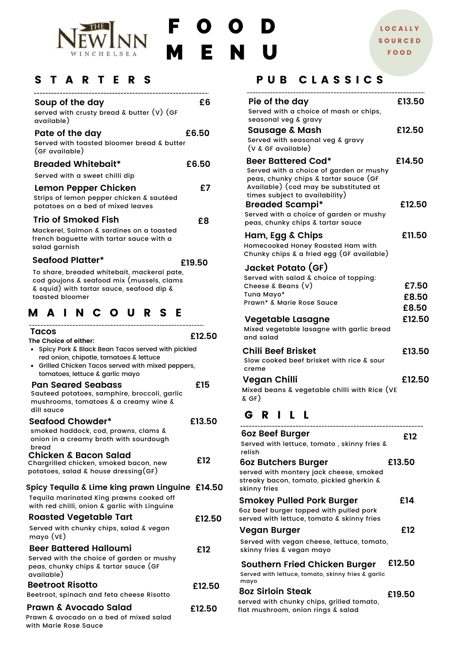

F O O D M E N U

#### S T A R T E R S

| Soup of the day<br>served with crusty bread & butter $(V)$ (GF<br>available)                                                                                                  | £6     | Pie of the day<br>Served with a choice<br>seasonal veg & grav                                             |
|-------------------------------------------------------------------------------------------------------------------------------------------------------------------------------|--------|-----------------------------------------------------------------------------------------------------------|
| Pate of the day<br>Served with toasted bloomer bread & butter<br>(GF available)                                                                                               | £6.50  | Sausage & Masl<br>Served with seasond<br>(V & GF available)                                               |
| <b>Breaded Whitebait*</b>                                                                                                                                                     | £6.50  | <b>Beer Battered Co</b>                                                                                   |
| Served with a sweet chilli dip                                                                                                                                                |        | Served with a choice<br>peas, chunky chips &                                                              |
| Lemon Pepper Chicken<br>Strips of lemon pepper chicken & sautéed<br>potatoes on a bed of mixed leaves                                                                         | £7     | Available) (cod may<br>times subject to ava<br><b>Breaded Scamp</b>                                       |
| <b>Trio of Smoked Fish</b>                                                                                                                                                    | £8     | Served with a choice<br>peas, chunky chips &                                                              |
| Mackerel, Salmon & sardines on a toasted<br>french baguette with tartar sauce with a<br>salad garnish                                                                         |        | Ham, Egg & Chip<br>Homecooked Honey R<br>Chunky chips & a frie                                            |
| <b>Seafood Platter*</b>                                                                                                                                                       | £19.50 |                                                                                                           |
| To share, breaded whitebait, mackeral pate,<br>cod goujons & seafood mix (mussels, clams<br>& squid) with tartar sauce, seafood dip &<br>toasted bloomer                      |        | Jacket Potato (G<br>Served with salad & c<br>Cheese $\&$ Beans $(v)$<br>Tuna Mayo*<br>Prawn* & Marie Rose |
| <b>MAINCOURSE</b>                                                                                                                                                             |        | Vegetable Lasag                                                                                           |
| Tacos                                                                                                                                                                         |        | Mixed vegetable lasa                                                                                      |
| The Choice of either:<br>• Spicy Pork & Black Bean Tacos served with pickled<br>red onion, chipotle, tomatoes & lettuce<br>• Grilled Chicken Tacos served with mixed peppers, | £12.50 | and salad<br><b>Chili Beef Brisket</b><br>Slow cooked beef bris<br>creme                                  |
| tomatoes, lettuce & garlic mayo<br><b>Pan Seared Seabass</b><br>Sauteed potatoes, samphire, broccoli, garlic<br>mushrooms, tomatoes & a creamy wine &<br>dill sauce           | £15    | Vegan Chilli<br>Mixed beans & vegeto<br>$\&$ GF)                                                          |
| <b>Seafood Chowder*</b>                                                                                                                                                       | £13.50 | RILL<br>G                                                                                                 |
| smoked haddock, cod, prawns, clams &<br>onion in a creamy broth with sourdough<br>bread                                                                                       |        | <b>6oz Beef Burger</b><br>Served with lettuce, to                                                         |
| <b>Chicken &amp; Bacon Salad</b><br>Chargrilled chicken, smoked bacon, new<br>potatoes, salad $\&$ house dressing (GF)                                                        | £12    | relish<br><b>602 Butchers Burg</b><br>served with montery jo                                              |
| Spicy Tequila & Lime king prawn Linguine £14.50                                                                                                                               |        | streaky bacon, tomato<br>skinny fries                                                                     |
| Tequila marinated King prawns cooked off<br>with red chilli, onion & garlic with Linguine                                                                                     |        | <b>Smokey Pulled Po</b><br>6oz beef burger topped                                                         |
| <b>Roasted Vegetable Tart</b>                                                                                                                                                 | £12.50 | served with lettuce, tor                                                                                  |
| Served with chunky chips, salad & vegan<br>mayo (VE)                                                                                                                          |        | Vegan Burger<br>Served with vegan che                                                                     |
| <b>Beer Battered Halloumi</b>                                                                                                                                                 | £12    | skinny fries & vegan m                                                                                    |
| Served with the choice of garden or mushy<br>peas, chunky chips & tartar sauce (GF<br>available)                                                                              |        | <b>Southern Fried Cl</b><br>Served with lettuce, toma                                                     |
| <b>Beetroot Risotto</b>                                                                                                                                                       | £12.50 | mayo                                                                                                      |
| Beetroot, spinach and feta cheese Risotto                                                                                                                                     |        | <b>8oz Sirloin Steak</b>                                                                                  |

#### PUB CLASSICS

| Pie of the day                                                                        | £13.50 |
|---------------------------------------------------------------------------------------|--------|
| Served with a choice of mash or chips,                                                |        |
| seasonal veg & gravy                                                                  | £12.50 |
| <b>Sausage &amp; Mash</b><br>Served with seasonal veg & gravy                         |        |
| (V & GF available)                                                                    |        |
| <b>Beer Battered Cod*</b>                                                             | £14.50 |
| Served with a choice of garden or mushy<br>peas, chunky chips & tartar sauce (GF      |        |
| Available) (cod may be substituted at                                                 |        |
| times subject to availability)                                                        | £12.50 |
| <b>Breaded Scampi*</b><br>Served with a choice of garden or mushy                     |        |
| peas, chunky chips & tartar sauce                                                     |        |
| Ham, Egg & Chips                                                                      | £11.50 |
| Homecooked Honey Roasted Ham with                                                     |        |
| Chunky chips & a fried egg (GF available)                                             |        |
| Jacket Potato (GF)                                                                    |        |
| Served with salad & choice of topping:<br>Cheese & Beans (V)                          | £7.50  |
| Tuna Mayo*                                                                            | £8.50  |
| Prawn* & Marie Rose Sauce                                                             | £8.50  |
| Vegetable Lasagne                                                                     | £12.50 |
| Mixed vegetable lasagne with garlic bread                                             |        |
| and salad                                                                             |        |
| Chili Beef Brisket                                                                    | £13.50 |
| Slow cooked beef brisket with rice & sour<br>creme                                    |        |
| <b>Vegan Chilli</b>                                                                   | £12.50 |
| Mixed beans & vegetable chilli with Rice (VE<br>$\&$ GF)                              |        |
| GRILL                                                                                 |        |
| 6oz Beef Burger                                                                       | £12    |
| Served with lettuce, tomato, skinny fries &<br>relish                                 |        |
| 6oz Butchers Burger                                                                   | £13.50 |
| served with montery jack cheese, smoked                                               |        |
| streaky bacon, tomato, pickled gherkin &<br>skinny fries                              |        |
| <b>Smokey Pulled Pork Burger</b>                                                      | £14    |
| 6oz beef burger topped with pulled pork<br>served with lettuce, tomato & skinny fries |        |
| Vegan Burger                                                                          | £12    |
| Served with vegan cheese, lettuce, tomato,                                            |        |
| skinny fries & vegan mayo                                                             |        |
| <b>Southern Fried Chicken Burger</b>                                                  | £12.50 |
| Served with lettuce, tomato, skinny fries & garlic<br>mayo                            |        |
| <b>8oz Sirloin Steak</b>                                                              | £19.50 |
| served with chunky chips, grilled tomato,                                             |        |

flat mushroom, onion rings & salad

**£12.50**

Prawn & avocado on a bed of mixed salad with Marie Rose Sauce

**Prawn & Avocado Salad**